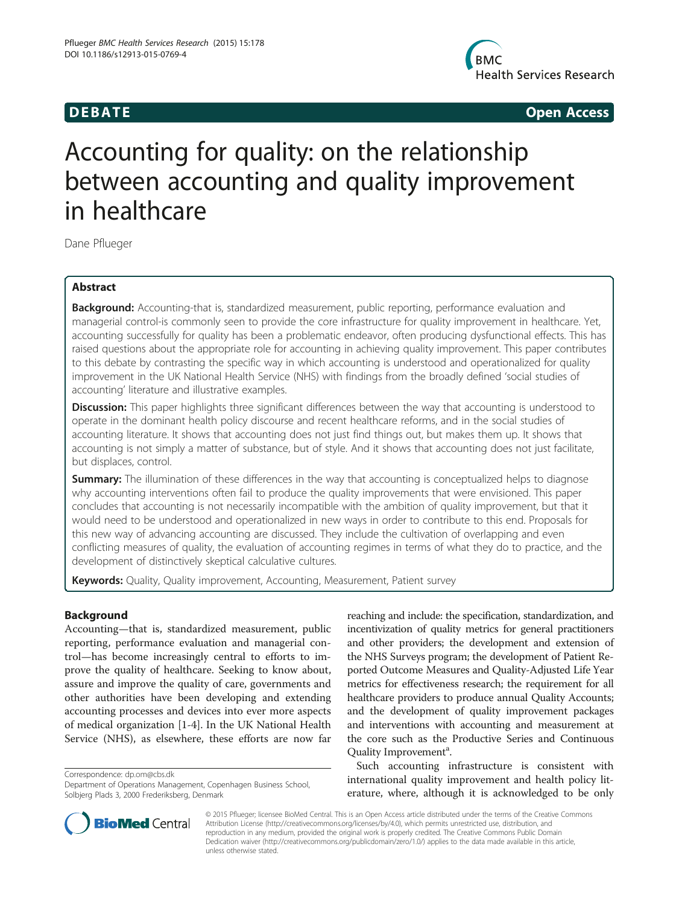

**DEBATE CONSIDERENT CONSIDERED ACCESS** 

# Accounting for quality: on the relationship between accounting and quality improvement in healthcare

Dane Pflueger

# Abstract

Background: Accounting-that is, standardized measurement, public reporting, performance evaluation and managerial control-is commonly seen to provide the core infrastructure for quality improvement in healthcare. Yet, accounting successfully for quality has been a problematic endeavor, often producing dysfunctional effects. This has raised questions about the appropriate role for accounting in achieving quality improvement. This paper contributes to this debate by contrasting the specific way in which accounting is understood and operationalized for quality improvement in the UK National Health Service (NHS) with findings from the broadly defined 'social studies of accounting' literature and illustrative examples.

**Discussion:** This paper highlights three significant differences between the way that accounting is understood to operate in the dominant health policy discourse and recent healthcare reforms, and in the social studies of accounting literature. It shows that accounting does not just find things out, but makes them up. It shows that accounting is not simply a matter of substance, but of style. And it shows that accounting does not just facilitate, but displaces, control.

**Summary:** The illumination of these differences in the way that accounting is conceptualized helps to diagnose why accounting interventions often fail to produce the quality improvements that were envisioned. This paper concludes that accounting is not necessarily incompatible with the ambition of quality improvement, but that it would need to be understood and operationalized in new ways in order to contribute to this end. Proposals for this new way of advancing accounting are discussed. They include the cultivation of overlapping and even conflicting measures of quality, the evaluation of accounting regimes in terms of what they do to practice, and the development of distinctively skeptical calculative cultures.

Keywords: Quality, Quality improvement, Accounting, Measurement, Patient survey

# Background

Accounting—that is, standardized measurement, public reporting, performance evaluation and managerial control—has become increasingly central to efforts to improve the quality of healthcare. Seeking to know about, assure and improve the quality of care, governments and other authorities have been developing and extending accounting processes and devices into ever more aspects of medical organization [\[1](#page-10-0)-[4\]](#page-10-0). In the UK National Health Service (NHS), as elsewhere, these efforts are now far

Correspondence: [dp.om@cbs.dk](mailto:dp.om@cbs.dk)

reaching and include: the specification, standardization, and incentivization of quality metrics for general practitioners and other providers; the development and extension of the NHS Surveys program; the development of Patient Reported Outcome Measures and Quality-Adjusted Life Year metrics for effectiveness research; the requirement for all healthcare providers to produce annual Quality Accounts; and the development of quality improvement packages and interventions with accounting and measurement at the core such as the Productive Series and Continuous Quality Improvement<sup>a</sup>.

Such accounting infrastructure is consistent with international quality improvement and health policy literature, where, although it is acknowledged to be only



© 2015 Pflueger; licensee BioMed Central. This is an Open Access article distributed under the terms of the Creative Commons Attribution License (<http://creativecommons.org/licenses/by/4.0>), which permits unrestricted use, distribution, and reproduction in any medium, provided the original work is properly credited. The Creative Commons Public Domain Dedication waiver [\(http://creativecommons.org/publicdomain/zero/1.0/](http://creativecommons.org/publicdomain/zero/1.0/)) applies to the data made available in this article, unless otherwise stated.

Department of Operations Management, Copenhagen Business School, Solbjerg Plads 3, 2000 Frederiksberg, Denmark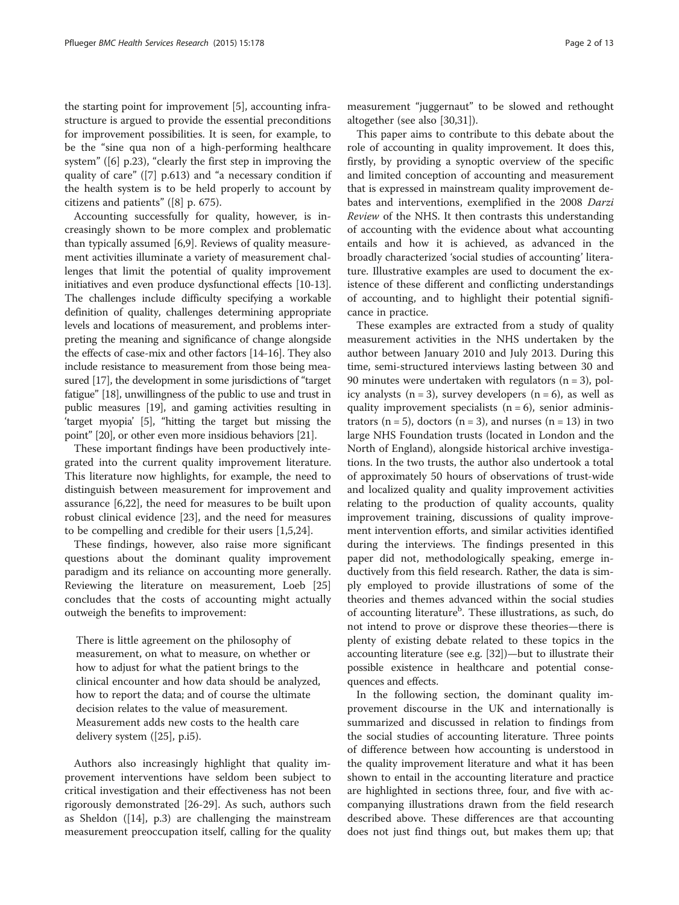the starting point for improvement [[5\]](#page-10-0), accounting infrastructure is argued to provide the essential preconditions for improvement possibilities. It is seen, for example, to be the "sine qua non of a high-performing healthcare system" ([\[6](#page-10-0)] p.23), "clearly the first step in improving the quality of care" ([[7\]](#page-10-0) p.613) and "a necessary condition if the health system is to be held properly to account by citizens and patients" ([\[8](#page-10-0)] p. 675).

Accounting successfully for quality, however, is increasingly shown to be more complex and problematic than typically assumed [[6,9\]](#page-10-0). Reviews of quality measurement activities illuminate a variety of measurement challenges that limit the potential of quality improvement initiatives and even produce dysfunctional effects [[10](#page-10-0)-[13](#page-10-0)]. The challenges include difficulty specifying a workable definition of quality, challenges determining appropriate levels and locations of measurement, and problems interpreting the meaning and significance of change alongside the effects of case-mix and other factors [[14](#page-10-0)-[16\]](#page-10-0). They also include resistance to measurement from those being measured [\[17](#page-10-0)], the development in some jurisdictions of "target fatigue" [\[18\]](#page-10-0), unwillingness of the public to use and trust in public measures [\[19](#page-10-0)], and gaming activities resulting in 'target myopia' [\[5\]](#page-10-0), "hitting the target but missing the point" [[20](#page-10-0)], or other even more insidious behaviors [\[21\]](#page-11-0).

These important findings have been productively integrated into the current quality improvement literature. This literature now highlights, for example, the need to distinguish between measurement for improvement and assurance [[6,](#page-10-0)[22\]](#page-11-0), the need for measures to be built upon robust clinical evidence [[23\]](#page-11-0), and the need for measures to be compelling and credible for their users [\[1](#page-10-0),[5](#page-10-0),[24](#page-11-0)].

These findings, however, also raise more significant questions about the dominant quality improvement paradigm and its reliance on accounting more generally. Reviewing the literature on measurement, Loeb [[25](#page-11-0)] concludes that the costs of accounting might actually outweigh the benefits to improvement:

There is little agreement on the philosophy of measurement, on what to measure, on whether or how to adjust for what the patient brings to the clinical encounter and how data should be analyzed, how to report the data; and of course the ultimate decision relates to the value of measurement. Measurement adds new costs to the health care delivery system ([\[25](#page-11-0)], p.i5).

Authors also increasingly highlight that quality improvement interventions have seldom been subject to critical investigation and their effectiveness has not been rigorously demonstrated [[26-29](#page-11-0)]. As such, authors such as Sheldon ([[14](#page-10-0)], p.3) are challenging the mainstream measurement preoccupation itself, calling for the quality

measurement "juggernaut" to be slowed and rethought altogether (see also [\[30,31](#page-11-0)]).

This paper aims to contribute to this debate about the role of accounting in quality improvement. It does this, firstly, by providing a synoptic overview of the specific and limited conception of accounting and measurement that is expressed in mainstream quality improvement debates and interventions, exemplified in the 2008 Darzi Review of the NHS. It then contrasts this understanding of accounting with the evidence about what accounting entails and how it is achieved, as advanced in the broadly characterized 'social studies of accounting' literature. Illustrative examples are used to document the existence of these different and conflicting understandings of accounting, and to highlight their potential significance in practice.

These examples are extracted from a study of quality measurement activities in the NHS undertaken by the author between January 2010 and July 2013. During this time, semi-structured interviews lasting between 30 and 90 minutes were undertaken with regulators  $(n = 3)$ , policy analysts  $(n = 3)$ , survey developers  $(n = 6)$ , as well as quality improvement specialists  $(n = 6)$ , senior administrators  $(n = 5)$ , doctors  $(n = 3)$ , and nurses  $(n = 13)$  in two large NHS Foundation trusts (located in London and the North of England), alongside historical archive investigations. In the two trusts, the author also undertook a total of approximately 50 hours of observations of trust-wide and localized quality and quality improvement activities relating to the production of quality accounts, quality improvement training, discussions of quality improvement intervention efforts, and similar activities identified during the interviews. The findings presented in this paper did not, methodologically speaking, emerge inductively from this field research. Rather, the data is simply employed to provide illustrations of some of the theories and themes advanced within the social studies of accounting literature<sup>b</sup>. These illustrations, as such, do not intend to prove or disprove these theories—there is plenty of existing debate related to these topics in the accounting literature (see e.g. [\[32](#page-11-0)])—but to illustrate their possible existence in healthcare and potential consequences and effects.

In the following section, the dominant quality improvement discourse in the UK and internationally is summarized and discussed in relation to findings from the social studies of accounting literature. Three points of difference between how accounting is understood in the quality improvement literature and what it has been shown to entail in the accounting literature and practice are highlighted in sections three, four, and five with accompanying illustrations drawn from the field research described above. These differences are that accounting does not just find things out, but makes them up; that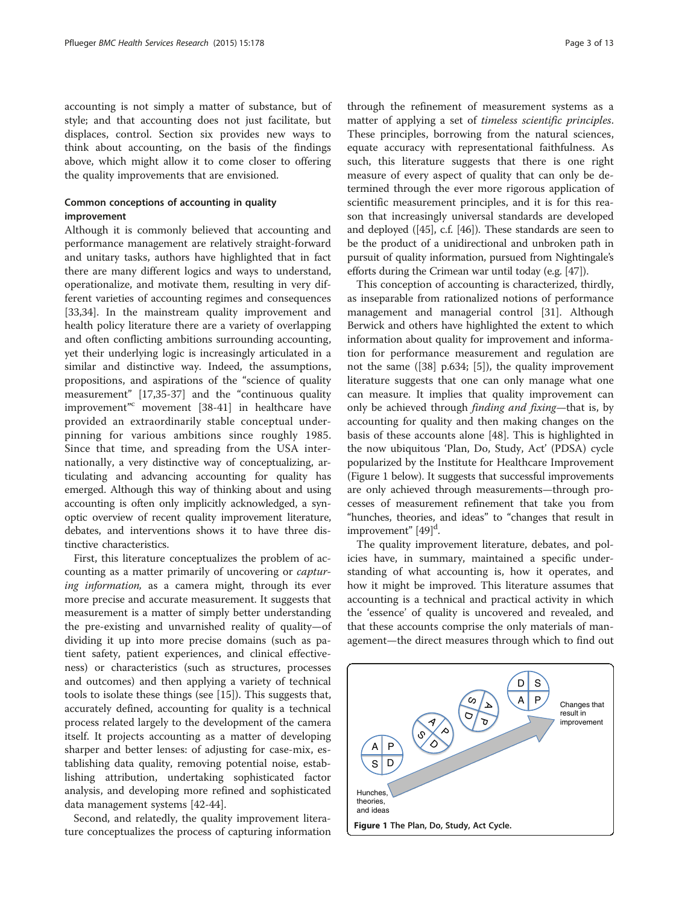accounting is not simply a matter of substance, but of style; and that accounting does not just facilitate, but displaces, control. Section six provides new ways to think about accounting, on the basis of the findings above, which might allow it to come closer to offering the quality improvements that are envisioned.

# Common conceptions of accounting in quality improvement

Although it is commonly believed that accounting and performance management are relatively straight-forward and unitary tasks, authors have highlighted that in fact there are many different logics and ways to understand, operationalize, and motivate them, resulting in very different varieties of accounting regimes and consequences [[33,34\]](#page-11-0). In the mainstream quality improvement and health policy literature there are a variety of overlapping and often conflicting ambitions surrounding accounting, yet their underlying logic is increasingly articulated in a similar and distinctive way. Indeed, the assumptions, propositions, and aspirations of the "science of quality measurement" [[17](#page-10-0),[35](#page-11-0)-[37\]](#page-11-0) and the "continuous quality improvement"<sup>c</sup> movement [\[38](#page-11-0)-[41](#page-11-0)] in healthcare have provided an extraordinarily stable conceptual underpinning for various ambitions since roughly 1985. Since that time, and spreading from the USA internationally, a very distinctive way of conceptualizing, articulating and advancing accounting for quality has emerged. Although this way of thinking about and using accounting is often only implicitly acknowledged, a synoptic overview of recent quality improvement literature, debates, and interventions shows it to have three distinctive characteristics.

First, this literature conceptualizes the problem of accounting as a matter primarily of uncovering or capturing information, as a camera might, through its ever more precise and accurate measurement. It suggests that measurement is a matter of simply better understanding the pre-existing and unvarnished reality of quality—of dividing it up into more precise domains (such as patient safety, patient experiences, and clinical effectiveness) or characteristics (such as structures, processes and outcomes) and then applying a variety of technical tools to isolate these things (see [\[15](#page-10-0)]). This suggests that, accurately defined, accounting for quality is a technical process related largely to the development of the camera itself. It projects accounting as a matter of developing sharper and better lenses: of adjusting for case-mix, establishing data quality, removing potential noise, establishing attribution, undertaking sophisticated factor analysis, and developing more refined and sophisticated data management systems [\[42-44](#page-11-0)].

Second, and relatedly, the quality improvement literature conceptualizes the process of capturing information

through the refinement of measurement systems as a matter of applying a set of timeless scientific principles. These principles, borrowing from the natural sciences, equate accuracy with representational faithfulness. As such, this literature suggests that there is one right measure of every aspect of quality that can only be determined through the ever more rigorous application of scientific measurement principles, and it is for this reason that increasingly universal standards are developed and deployed ([\[45\]](#page-11-0), c.f. [[46](#page-11-0)]). These standards are seen to be the product of a unidirectional and unbroken path in pursuit of quality information, pursued from Nightingale's efforts during the Crimean war until today (e.g. [[47](#page-11-0)]).

This conception of accounting is characterized, thirdly, as inseparable from rationalized notions of performance management and managerial control [[31\]](#page-11-0). Although Berwick and others have highlighted the extent to which information about quality for improvement and information for performance measurement and regulation are not the same ([\[38\]](#page-11-0) p.634; [\[5](#page-10-0)]), the quality improvement literature suggests that one can only manage what one can measure. It implies that quality improvement can only be achieved through finding and fixing—that is, by accounting for quality and then making changes on the basis of these accounts alone [[48](#page-11-0)]. This is highlighted in the now ubiquitous 'Plan, Do, Study, Act' (PDSA) cycle popularized by the Institute for Healthcare Improvement (Figure 1 below). It suggests that successful improvements are only achieved through measurements—through processes of measurement refinement that take you from "hunches, theories, and ideas" to "changes that result in improvement" [[49](#page-11-0)]<sup>d</sup>.

The quality improvement literature, debates, and policies have, in summary, maintained a specific understanding of what accounting is, how it operates, and how it might be improved. This literature assumes that accounting is a technical and practical activity in which the 'essence' of quality is uncovered and revealed, and that these accounts comprise the only materials of management—the direct measures through which to find out

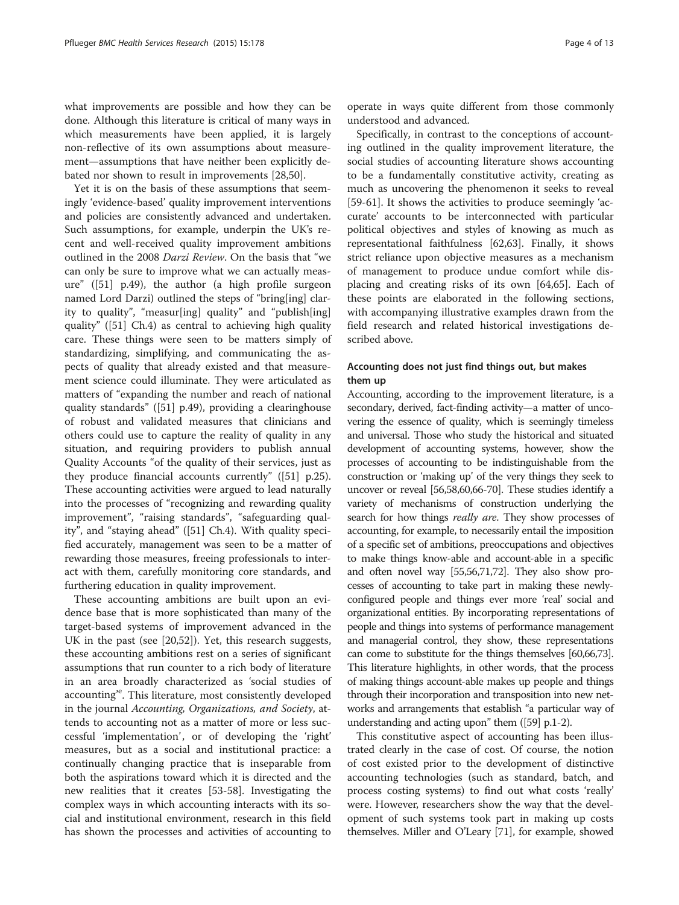what improvements are possible and how they can be done. Although this literature is critical of many ways in which measurements have been applied, it is largely non-reflective of its own assumptions about measurement—assumptions that have neither been explicitly debated nor shown to result in improvements [\[28,50](#page-11-0)].

Yet it is on the basis of these assumptions that seemingly 'evidence-based' quality improvement interventions and policies are consistently advanced and undertaken. Such assumptions, for example, underpin the UK's recent and well-received quality improvement ambitions outlined in the 2008 Darzi Review. On the basis that "we can only be sure to improve what we can actually measure" ([\[51](#page-11-0)] p.49), the author (a high profile surgeon named Lord Darzi) outlined the steps of "bring[ing] clarity to quality", "measur[ing] quality" and "publish[ing] quality" ([\[51](#page-11-0)] Ch.4) as central to achieving high quality care. These things were seen to be matters simply of standardizing, simplifying, and communicating the aspects of quality that already existed and that measurement science could illuminate. They were articulated as matters of "expanding the number and reach of national quality standards" ([[51\]](#page-11-0) p.49), providing a clearinghouse of robust and validated measures that clinicians and others could use to capture the reality of quality in any situation, and requiring providers to publish annual Quality Accounts "of the quality of their services, just as they produce financial accounts currently" ([[51\]](#page-11-0) p.25). These accounting activities were argued to lead naturally into the processes of "recognizing and rewarding quality improvement", "raising standards", "safeguarding quality", and "staying ahead" ([[51\]](#page-11-0) Ch.4). With quality specified accurately, management was seen to be a matter of rewarding those measures, freeing professionals to interact with them, carefully monitoring core standards, and furthering education in quality improvement.

These accounting ambitions are built upon an evidence base that is more sophisticated than many of the target-based systems of improvement advanced in the UK in the past (see [[20,](#page-10-0)[52\]](#page-11-0)). Yet, this research suggests, these accounting ambitions rest on a series of significant assumptions that run counter to a rich body of literature in an area broadly characterized as 'social studies of accounting<sup>'e</sup>. This literature, most consistently developed in the journal Accounting, Organizations, and Society, attends to accounting not as a matter of more or less successful 'implementation', or of developing the 'right' measures, but as a social and institutional practice: a continually changing practice that is inseparable from both the aspirations toward which it is directed and the new realities that it creates [[53-58](#page-11-0)]. Investigating the complex ways in which accounting interacts with its social and institutional environment, research in this field has shown the processes and activities of accounting to

operate in ways quite different from those commonly understood and advanced.

Specifically, in contrast to the conceptions of accounting outlined in the quality improvement literature, the social studies of accounting literature shows accounting to be a fundamentally constitutive activity, creating as much as uncovering the phenomenon it seeks to reveal [[59-61](#page-11-0)]. It shows the activities to produce seemingly 'accurate' accounts to be interconnected with particular political objectives and styles of knowing as much as representational faithfulness [[62,63\]](#page-11-0). Finally, it shows strict reliance upon objective measures as a mechanism of management to produce undue comfort while displacing and creating risks of its own [[64,65](#page-11-0)]. Each of these points are elaborated in the following sections, with accompanying illustrative examples drawn from the field research and related historical investigations described above.

# Accounting does not just find things out, but makes them up

Accounting, according to the improvement literature, is a secondary, derived, fact-finding activity—a matter of uncovering the essence of quality, which is seemingly timeless and universal. Those who study the historical and situated development of accounting systems, however, show the processes of accounting to be indistinguishable from the construction or 'making up' of the very things they seek to uncover or reveal [\[56,58,60,66-70\]](#page-11-0). These studies identify a variety of mechanisms of construction underlying the search for how things *really are*. They show processes of accounting, for example, to necessarily entail the imposition of a specific set of ambitions, preoccupations and objectives to make things know-able and account-able in a specific and often novel way [\[55,56,71,72\]](#page-11-0). They also show processes of accounting to take part in making these newlyconfigured people and things ever more 'real' social and organizational entities. By incorporating representations of people and things into systems of performance management and managerial control, they show, these representations can come to substitute for the things themselves [[60,66,73](#page-11-0)]. This literature highlights, in other words, that the process of making things account-able makes up people and things through their incorporation and transposition into new networks and arrangements that establish "a particular way of understanding and acting upon" them ([\[59\]](#page-11-0) p.1-2).

This constitutive aspect of accounting has been illustrated clearly in the case of cost. Of course, the notion of cost existed prior to the development of distinctive accounting technologies (such as standard, batch, and process costing systems) to find out what costs 'really' were. However, researchers show the way that the development of such systems took part in making up costs themselves. Miller and O'Leary [\[71\]](#page-11-0), for example, showed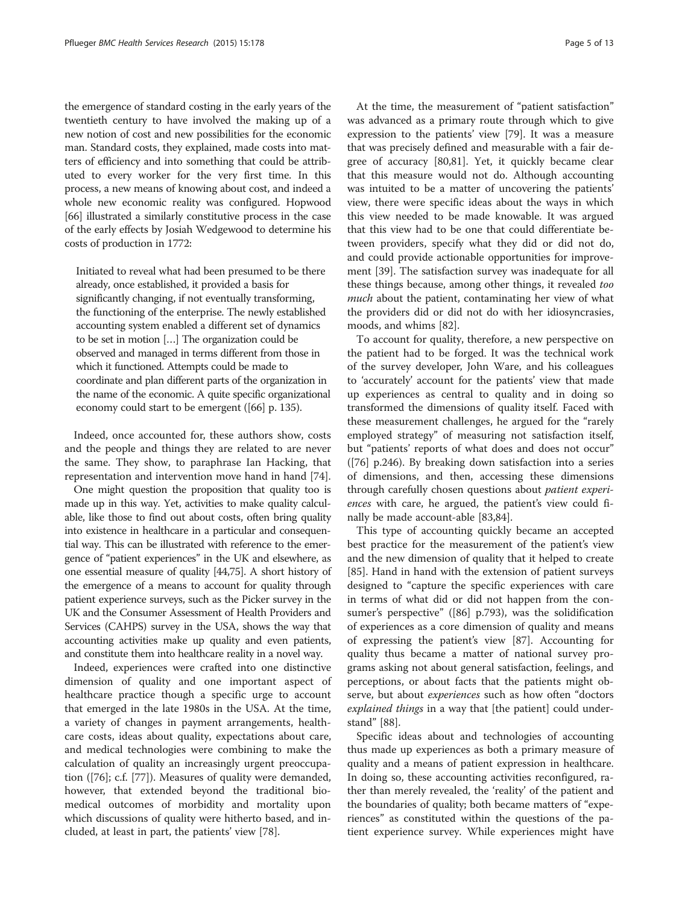the emergence of standard costing in the early years of the twentieth century to have involved the making up of a new notion of cost and new possibilities for the economic man. Standard costs, they explained, made costs into matters of efficiency and into something that could be attributed to every worker for the very first time. In this process, a new means of knowing about cost, and indeed a whole new economic reality was configured. Hopwood [[66](#page-11-0)] illustrated a similarly constitutive process in the case of the early effects by Josiah Wedgewood to determine his costs of production in 1772:

Initiated to reveal what had been presumed to be there already, once established, it provided a basis for significantly changing, if not eventually transforming, the functioning of the enterprise. The newly established accounting system enabled a different set of dynamics to be set in motion […] The organization could be observed and managed in terms different from those in which it functioned. Attempts could be made to coordinate and plan different parts of the organization in the name of the economic. A quite specific organizational economy could start to be emergent ([\[66\]](#page-11-0) p. 135).

Indeed, once accounted for, these authors show, costs and the people and things they are related to are never the same. They show, to paraphrase Ian Hacking, that representation and intervention move hand in hand [\[74](#page-11-0)].

One might question the proposition that quality too is made up in this way. Yet, activities to make quality calculable, like those to find out about costs, often bring quality into existence in healthcare in a particular and consequential way. This can be illustrated with reference to the emergence of "patient experiences" in the UK and elsewhere, as one essential measure of quality [\[44,75\]](#page-11-0). A short history of the emergence of a means to account for quality through patient experience surveys, such as the Picker survey in the UK and the Consumer Assessment of Health Providers and Services (CAHPS) survey in the USA, shows the way that accounting activities make up quality and even patients, and constitute them into healthcare reality in a novel way.

Indeed, experiences were crafted into one distinctive dimension of quality and one important aspect of healthcare practice though a specific urge to account that emerged in the late 1980s in the USA. At the time, a variety of changes in payment arrangements, healthcare costs, ideas about quality, expectations about care, and medical technologies were combining to make the calculation of quality an increasingly urgent preoccupation ([\[76](#page-11-0)]; c.f. [\[77](#page-11-0)]). Measures of quality were demanded, however, that extended beyond the traditional biomedical outcomes of morbidity and mortality upon which discussions of quality were hitherto based, and included, at least in part, the patients' view [[78](#page-11-0)].

At the time, the measurement of "patient satisfaction" was advanced as a primary route through which to give expression to the patients' view [\[79\]](#page-11-0). It was a measure that was precisely defined and measurable with a fair degree of accuracy [[80,81\]](#page-11-0). Yet, it quickly became clear that this measure would not do. Although accounting was intuited to be a matter of uncovering the patients' view, there were specific ideas about the ways in which this view needed to be made knowable. It was argued that this view had to be one that could differentiate between providers, specify what they did or did not do, and could provide actionable opportunities for improvement [\[39](#page-11-0)]. The satisfaction survey was inadequate for all these things because, among other things, it revealed too much about the patient, contaminating her view of what the providers did or did not do with her idiosyncrasies, moods, and whims [\[82\]](#page-12-0).

To account for quality, therefore, a new perspective on the patient had to be forged. It was the technical work of the survey developer, John Ware, and his colleagues to 'accurately' account for the patients' view that made up experiences as central to quality and in doing so transformed the dimensions of quality itself. Faced with these measurement challenges, he argued for the "rarely employed strategy" of measuring not satisfaction itself, but "patients' reports of what does and does not occur" ([\[76\]](#page-11-0) p.246). By breaking down satisfaction into a series of dimensions, and then, accessing these dimensions through carefully chosen questions about *patient experi*ences with care, he argued, the patient's view could finally be made account-able [[83,84\]](#page-12-0).

This type of accounting quickly became an accepted best practice for the measurement of the patient's view and the new dimension of quality that it helped to create [[85\]](#page-12-0). Hand in hand with the extension of patient surveys designed to "capture the specific experiences with care in terms of what did or did not happen from the consumer's perspective" ([\[86\]](#page-12-0) p.793), was the solidification of experiences as a core dimension of quality and means of expressing the patient's view [[87](#page-12-0)]. Accounting for quality thus became a matter of national survey programs asking not about general satisfaction, feelings, and perceptions, or about facts that the patients might observe, but about *experiences* such as how often "doctors explained things in a way that [the patient] could understand" [\[88](#page-12-0)].

Specific ideas about and technologies of accounting thus made up experiences as both a primary measure of quality and a means of patient expression in healthcare. In doing so, these accounting activities reconfigured, rather than merely revealed, the 'reality' of the patient and the boundaries of quality; both became matters of "experiences" as constituted within the questions of the patient experience survey. While experiences might have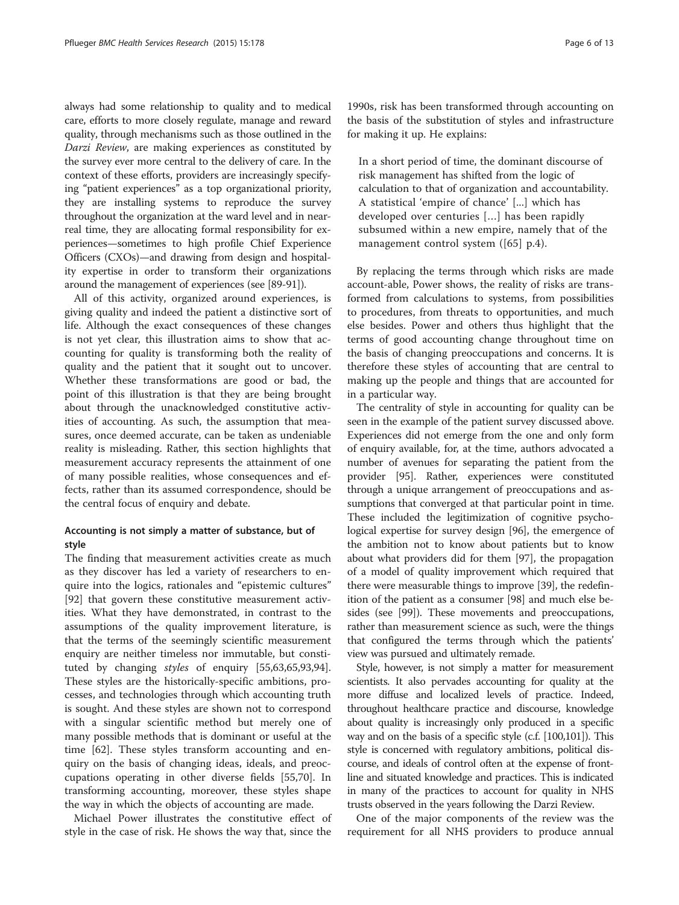always had some relationship to quality and to medical care, efforts to more closely regulate, manage and reward quality, through mechanisms such as those outlined in the Darzi Review, are making experiences as constituted by the survey ever more central to the delivery of care. In the context of these efforts, providers are increasingly specifying "patient experiences" as a top organizational priority, they are installing systems to reproduce the survey throughout the organization at the ward level and in nearreal time, they are allocating formal responsibility for experiences—sometimes to high profile Chief Experience Officers (CXOs)—and drawing from design and hospitality expertise in order to transform their organizations around the management of experiences (see [[89-91\]](#page-12-0)).

All of this activity, organized around experiences, is giving quality and indeed the patient a distinctive sort of life. Although the exact consequences of these changes is not yet clear, this illustration aims to show that accounting for quality is transforming both the reality of quality and the patient that it sought out to uncover. Whether these transformations are good or bad, the point of this illustration is that they are being brought about through the unacknowledged constitutive activities of accounting. As such, the assumption that measures, once deemed accurate, can be taken as undeniable reality is misleading. Rather, this section highlights that measurement accuracy represents the attainment of one of many possible realities, whose consequences and effects, rather than its assumed correspondence, should be the central focus of enquiry and debate.

# Accounting is not simply a matter of substance, but of style

The finding that measurement activities create as much as they discover has led a variety of researchers to enquire into the logics, rationales and "epistemic cultures" [[92\]](#page-12-0) that govern these constitutive measurement activities. What they have demonstrated, in contrast to the assumptions of the quality improvement literature, is that the terms of the seemingly scientific measurement enquiry are neither timeless nor immutable, but constituted by changing styles of enquiry [[55](#page-11-0),[63,65](#page-11-0)[,93,94](#page-12-0)]. These styles are the historically-specific ambitions, processes, and technologies through which accounting truth is sought. And these styles are shown not to correspond with a singular scientific method but merely one of many possible methods that is dominant or useful at the time [[62](#page-11-0)]. These styles transform accounting and enquiry on the basis of changing ideas, ideals, and preoccupations operating in other diverse fields [\[55,70](#page-11-0)]. In transforming accounting, moreover, these styles shape the way in which the objects of accounting are made.

Michael Power illustrates the constitutive effect of style in the case of risk. He shows the way that, since the

1990s, risk has been transformed through accounting on the basis of the substitution of styles and infrastructure for making it up. He explains:

In a short period of time, the dominant discourse of risk management has shifted from the logic of calculation to that of organization and accountability. A statistical 'empire of chance' [...] which has developed over centuries […] has been rapidly subsumed within a new empire, namely that of the management control system ([[65](#page-11-0)] p.4).

By replacing the terms through which risks are made account-able, Power shows, the reality of risks are transformed from calculations to systems, from possibilities to procedures, from threats to opportunities, and much else besides. Power and others thus highlight that the terms of good accounting change throughout time on the basis of changing preoccupations and concerns. It is therefore these styles of accounting that are central to making up the people and things that are accounted for in a particular way.

The centrality of style in accounting for quality can be seen in the example of the patient survey discussed above. Experiences did not emerge from the one and only form of enquiry available, for, at the time, authors advocated a number of avenues for separating the patient from the provider [\[95\]](#page-12-0). Rather, experiences were constituted through a unique arrangement of preoccupations and assumptions that converged at that particular point in time. These included the legitimization of cognitive psychological expertise for survey design [[96](#page-12-0)], the emergence of the ambition not to know about patients but to know about what providers did for them [\[97\]](#page-12-0), the propagation of a model of quality improvement which required that there were measurable things to improve [\[39](#page-11-0)], the redefinition of the patient as a consumer [\[98\]](#page-12-0) and much else besides (see [\[99](#page-12-0)]). These movements and preoccupations, rather than measurement science as such, were the things that configured the terms through which the patients' view was pursued and ultimately remade.

Style, however, is not simply a matter for measurement scientists. It also pervades accounting for quality at the more diffuse and localized levels of practice. Indeed, throughout healthcare practice and discourse, knowledge about quality is increasingly only produced in a specific way and on the basis of a specific style (c.f. [\[100,101](#page-12-0)]). This style is concerned with regulatory ambitions, political discourse, and ideals of control often at the expense of frontline and situated knowledge and practices. This is indicated in many of the practices to account for quality in NHS trusts observed in the years following the Darzi Review.

One of the major components of the review was the requirement for all NHS providers to produce annual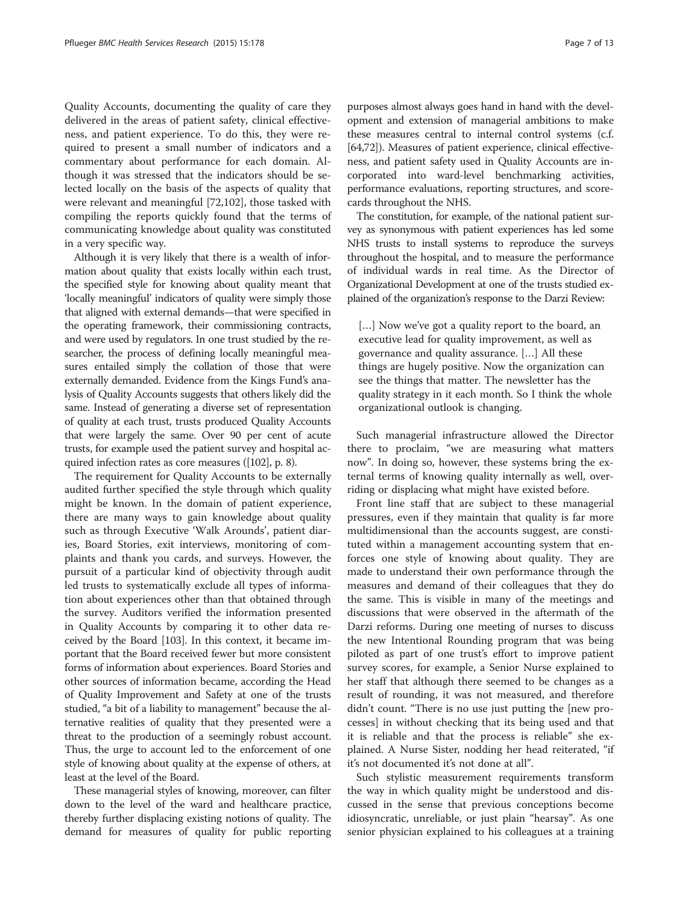Quality Accounts, documenting the quality of care they delivered in the areas of patient safety, clinical effectiveness, and patient experience. To do this, they were required to present a small number of indicators and a commentary about performance for each domain. Although it was stressed that the indicators should be selected locally on the basis of the aspects of quality that were relevant and meaningful [\[72](#page-11-0)[,102\]](#page-12-0), those tasked with compiling the reports quickly found that the terms of communicating knowledge about quality was constituted in a very specific way.

Although it is very likely that there is a wealth of information about quality that exists locally within each trust, the specified style for knowing about quality meant that 'locally meaningful' indicators of quality were simply those that aligned with external demands—that were specified in the operating framework, their commissioning contracts, and were used by regulators. In one trust studied by the researcher, the process of defining locally meaningful measures entailed simply the collation of those that were externally demanded. Evidence from the Kings Fund's analysis of Quality Accounts suggests that others likely did the same. Instead of generating a diverse set of representation of quality at each trust, trusts produced Quality Accounts that were largely the same. Over 90 per cent of acute trusts, for example used the patient survey and hospital acquired infection rates as core measures ([\[102\]](#page-12-0), p. 8).

The requirement for Quality Accounts to be externally audited further specified the style through which quality might be known. In the domain of patient experience, there are many ways to gain knowledge about quality such as through Executive 'Walk Arounds', patient diaries, Board Stories, exit interviews, monitoring of complaints and thank you cards, and surveys. However, the pursuit of a particular kind of objectivity through audit led trusts to systematically exclude all types of information about experiences other than that obtained through the survey. Auditors verified the information presented in Quality Accounts by comparing it to other data received by the Board [[103](#page-12-0)]. In this context, it became important that the Board received fewer but more consistent forms of information about experiences. Board Stories and other sources of information became, according the Head of Quality Improvement and Safety at one of the trusts studied, "a bit of a liability to management" because the alternative realities of quality that they presented were a threat to the production of a seemingly robust account. Thus, the urge to account led to the enforcement of one style of knowing about quality at the expense of others, at least at the level of the Board.

These managerial styles of knowing, moreover, can filter down to the level of the ward and healthcare practice, thereby further displacing existing notions of quality. The demand for measures of quality for public reporting purposes almost always goes hand in hand with the development and extension of managerial ambitions to make these measures central to internal control systems (c.f. [[64,72](#page-11-0)]). Measures of patient experience, clinical effectiveness, and patient safety used in Quality Accounts are incorporated into ward-level benchmarking activities, performance evaluations, reporting structures, and scorecards throughout the NHS.

The constitution, for example, of the national patient survey as synonymous with patient experiences has led some NHS trusts to install systems to reproduce the surveys throughout the hospital, and to measure the performance of individual wards in real time. As the Director of Organizational Development at one of the trusts studied explained of the organization's response to the Darzi Review:

[...] Now we've got a quality report to the board, an executive lead for quality improvement, as well as governance and quality assurance. […] All these things are hugely positive. Now the organization can see the things that matter. The newsletter has the quality strategy in it each month. So I think the whole organizational outlook is changing.

Such managerial infrastructure allowed the Director there to proclaim, "we are measuring what matters now". In doing so, however, these systems bring the external terms of knowing quality internally as well, overriding or displacing what might have existed before.

Front line staff that are subject to these managerial pressures, even if they maintain that quality is far more multidimensional than the accounts suggest, are constituted within a management accounting system that enforces one style of knowing about quality. They are made to understand their own performance through the measures and demand of their colleagues that they do the same. This is visible in many of the meetings and discussions that were observed in the aftermath of the Darzi reforms. During one meeting of nurses to discuss the new Intentional Rounding program that was being piloted as part of one trust's effort to improve patient survey scores, for example, a Senior Nurse explained to her staff that although there seemed to be changes as a result of rounding, it was not measured, and therefore didn't count. "There is no use just putting the [new processes] in without checking that its being used and that it is reliable and that the process is reliable" she explained. A Nurse Sister, nodding her head reiterated, "if it's not documented it's not done at all".

Such stylistic measurement requirements transform the way in which quality might be understood and discussed in the sense that previous conceptions become idiosyncratic, unreliable, or just plain "hearsay". As one senior physician explained to his colleagues at a training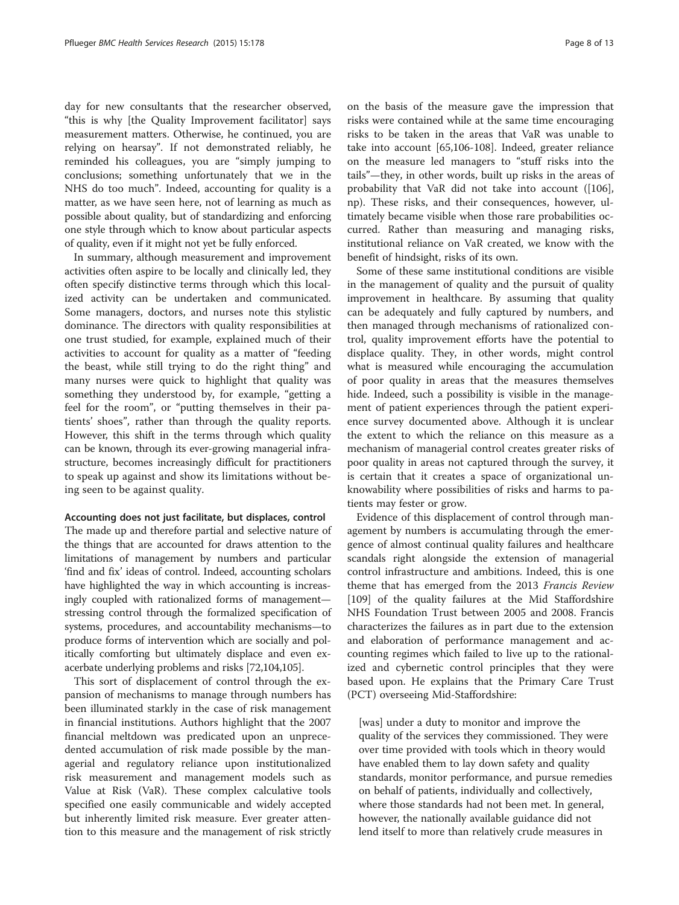day for new consultants that the researcher observed, "this is why [the Quality Improvement facilitator] says measurement matters. Otherwise, he continued, you are relying on hearsay". If not demonstrated reliably, he reminded his colleagues, you are "simply jumping to conclusions; something unfortunately that we in the NHS do too much". Indeed, accounting for quality is a matter, as we have seen here, not of learning as much as possible about quality, but of standardizing and enforcing one style through which to know about particular aspects of quality, even if it might not yet be fully enforced.

In summary, although measurement and improvement activities often aspire to be locally and clinically led, they often specify distinctive terms through which this localized activity can be undertaken and communicated. Some managers, doctors, and nurses note this stylistic dominance. The directors with quality responsibilities at one trust studied, for example, explained much of their activities to account for quality as a matter of "feeding the beast, while still trying to do the right thing" and many nurses were quick to highlight that quality was something they understood by, for example, "getting a feel for the room", or "putting themselves in their patients' shoes", rather than through the quality reports. However, this shift in the terms through which quality can be known, through its ever-growing managerial infrastructure, becomes increasingly difficult for practitioners to speak up against and show its limitations without being seen to be against quality.

### Accounting does not just facilitate, but displaces, control

The made up and therefore partial and selective nature of the things that are accounted for draws attention to the limitations of management by numbers and particular 'find and fix' ideas of control. Indeed, accounting scholars have highlighted the way in which accounting is increasingly coupled with rationalized forms of management stressing control through the formalized specification of systems, procedures, and accountability mechanisms—to produce forms of intervention which are socially and politically comforting but ultimately displace and even exacerbate underlying problems and risks [\[72,](#page-11-0)[104,105\]](#page-12-0).

This sort of displacement of control through the expansion of mechanisms to manage through numbers has been illuminated starkly in the case of risk management in financial institutions. Authors highlight that the 2007 financial meltdown was predicated upon an unprecedented accumulation of risk made possible by the managerial and regulatory reliance upon institutionalized risk measurement and management models such as Value at Risk (VaR). These complex calculative tools specified one easily communicable and widely accepted but inherently limited risk measure. Ever greater attention to this measure and the management of risk strictly

on the basis of the measure gave the impression that risks were contained while at the same time encouraging risks to be taken in the areas that VaR was unable to take into account [[65](#page-11-0),[106](#page-12-0)-[108\]](#page-12-0). Indeed, greater reliance on the measure led managers to "stuff risks into the tails"—they, in other words, built up risks in the areas of probability that VaR did not take into account ([[106](#page-12-0)], np). These risks, and their consequences, however, ultimately became visible when those rare probabilities occurred. Rather than measuring and managing risks, institutional reliance on VaR created, we know with the benefit of hindsight, risks of its own.

Some of these same institutional conditions are visible in the management of quality and the pursuit of quality improvement in healthcare. By assuming that quality can be adequately and fully captured by numbers, and then managed through mechanisms of rationalized control, quality improvement efforts have the potential to displace quality. They, in other words, might control what is measured while encouraging the accumulation of poor quality in areas that the measures themselves hide. Indeed, such a possibility is visible in the management of patient experiences through the patient experience survey documented above. Although it is unclear the extent to which the reliance on this measure as a mechanism of managerial control creates greater risks of poor quality in areas not captured through the survey, it is certain that it creates a space of organizational unknowability where possibilities of risks and harms to patients may fester or grow.

Evidence of this displacement of control through management by numbers is accumulating through the emergence of almost continual quality failures and healthcare scandals right alongside the extension of managerial control infrastructure and ambitions. Indeed, this is one theme that has emerged from the 2013 Francis Review [[109\]](#page-12-0) of the quality failures at the Mid Staffordshire NHS Foundation Trust between 2005 and 2008. Francis characterizes the failures as in part due to the extension and elaboration of performance management and accounting regimes which failed to live up to the rationalized and cybernetic control principles that they were based upon. He explains that the Primary Care Trust (PCT) overseeing Mid-Staffordshire:

[was] under a duty to monitor and improve the quality of the services they commissioned. They were over time provided with tools which in theory would have enabled them to lay down safety and quality standards, monitor performance, and pursue remedies on behalf of patients, individually and collectively, where those standards had not been met. In general, however, the nationally available guidance did not lend itself to more than relatively crude measures in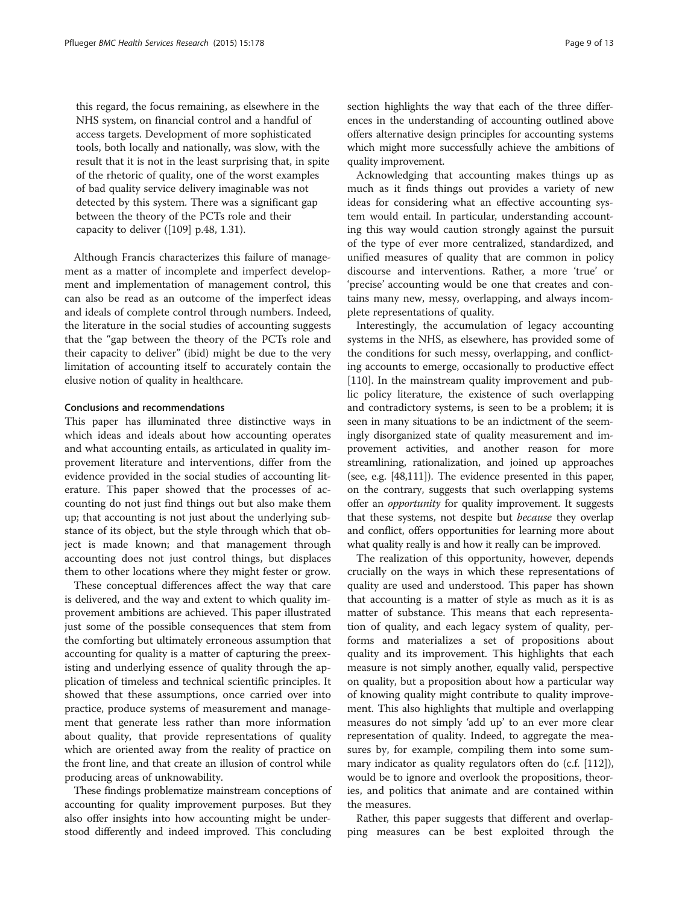this regard, the focus remaining, as elsewhere in the NHS system, on financial control and a handful of access targets. Development of more sophisticated tools, both locally and nationally, was slow, with the result that it is not in the least surprising that, in spite of the rhetoric of quality, one of the worst examples of bad quality service delivery imaginable was not detected by this system. There was a significant gap between the theory of the PCTs role and their capacity to deliver ([\[109](#page-12-0)] p.48, 1.31).

Although Francis characterizes this failure of management as a matter of incomplete and imperfect development and implementation of management control, this can also be read as an outcome of the imperfect ideas and ideals of complete control through numbers. Indeed, the literature in the social studies of accounting suggests that the "gap between the theory of the PCTs role and their capacity to deliver" (ibid) might be due to the very limitation of accounting itself to accurately contain the elusive notion of quality in healthcare.

# Conclusions and recommendations

This paper has illuminated three distinctive ways in which ideas and ideals about how accounting operates and what accounting entails, as articulated in quality improvement literature and interventions, differ from the evidence provided in the social studies of accounting literature. This paper showed that the processes of accounting do not just find things out but also make them up; that accounting is not just about the underlying substance of its object, but the style through which that object is made known; and that management through accounting does not just control things, but displaces them to other locations where they might fester or grow.

These conceptual differences affect the way that care is delivered, and the way and extent to which quality improvement ambitions are achieved. This paper illustrated just some of the possible consequences that stem from the comforting but ultimately erroneous assumption that accounting for quality is a matter of capturing the preexisting and underlying essence of quality through the application of timeless and technical scientific principles. It showed that these assumptions, once carried over into practice, produce systems of measurement and management that generate less rather than more information about quality, that provide representations of quality which are oriented away from the reality of practice on the front line, and that create an illusion of control while producing areas of unknowability.

These findings problematize mainstream conceptions of accounting for quality improvement purposes. But they also offer insights into how accounting might be understood differently and indeed improved. This concluding

section highlights the way that each of the three differences in the understanding of accounting outlined above offers alternative design principles for accounting systems which might more successfully achieve the ambitions of quality improvement.

Acknowledging that accounting makes things up as much as it finds things out provides a variety of new ideas for considering what an effective accounting system would entail. In particular, understanding accounting this way would caution strongly against the pursuit of the type of ever more centralized, standardized, and unified measures of quality that are common in policy discourse and interventions. Rather, a more 'true' or 'precise' accounting would be one that creates and contains many new, messy, overlapping, and always incomplete representations of quality.

Interestingly, the accumulation of legacy accounting systems in the NHS, as elsewhere, has provided some of the conditions for such messy, overlapping, and conflicting accounts to emerge, occasionally to productive effect [[110\]](#page-12-0). In the mainstream quality improvement and public policy literature, the existence of such overlapping and contradictory systems, is seen to be a problem; it is seen in many situations to be an indictment of the seemingly disorganized state of quality measurement and improvement activities, and another reason for more streamlining, rationalization, and joined up approaches (see, e.g. [[48,](#page-11-0)[111\]](#page-12-0)). The evidence presented in this paper, on the contrary, suggests that such overlapping systems offer an opportunity for quality improvement. It suggests that these systems, not despite but because they overlap and conflict, offers opportunities for learning more about what quality really is and how it really can be improved.

The realization of this opportunity, however, depends crucially on the ways in which these representations of quality are used and understood. This paper has shown that accounting is a matter of style as much as it is as matter of substance. This means that each representation of quality, and each legacy system of quality, performs and materializes a set of propositions about quality and its improvement. This highlights that each measure is not simply another, equally valid, perspective on quality, but a proposition about how a particular way of knowing quality might contribute to quality improvement. This also highlights that multiple and overlapping measures do not simply 'add up' to an ever more clear representation of quality. Indeed, to aggregate the measures by, for example, compiling them into some summary indicator as quality regulators often do (c.f. [\[112](#page-12-0)]), would be to ignore and overlook the propositions, theories, and politics that animate and are contained within the measures.

Rather, this paper suggests that different and overlapping measures can be best exploited through the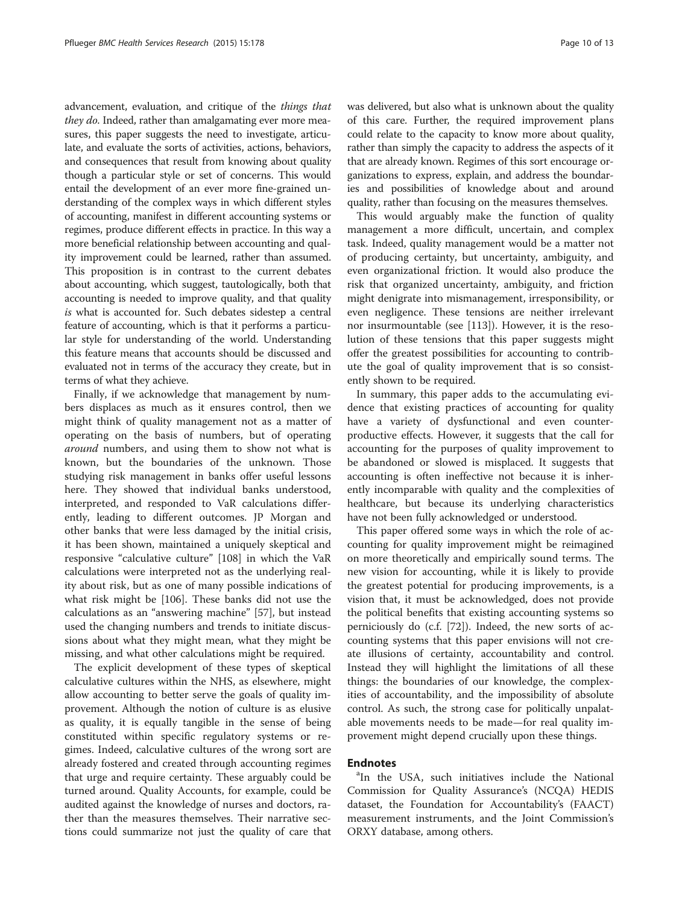advancement, evaluation, and critique of the things that they do. Indeed, rather than amalgamating ever more measures, this paper suggests the need to investigate, articulate, and evaluate the sorts of activities, actions, behaviors, and consequences that result from knowing about quality though a particular style or set of concerns. This would entail the development of an ever more fine-grained understanding of the complex ways in which different styles of accounting, manifest in different accounting systems or regimes, produce different effects in practice. In this way a more beneficial relationship between accounting and quality improvement could be learned, rather than assumed. This proposition is in contrast to the current debates about accounting, which suggest, tautologically, both that accounting is needed to improve quality, and that quality is what is accounted for. Such debates sidestep a central feature of accounting, which is that it performs a particular style for understanding of the world. Understanding this feature means that accounts should be discussed and evaluated not in terms of the accuracy they create, but in terms of what they achieve.

Finally, if we acknowledge that management by numbers displaces as much as it ensures control, then we might think of quality management not as a matter of operating on the basis of numbers, but of operating around numbers, and using them to show not what is known, but the boundaries of the unknown. Those studying risk management in banks offer useful lessons here. They showed that individual banks understood, interpreted, and responded to VaR calculations differently, leading to different outcomes. JP Morgan and other banks that were less damaged by the initial crisis, it has been shown, maintained a uniquely skeptical and responsive "calculative culture" [\[108\]](#page-12-0) in which the VaR calculations were interpreted not as the underlying reality about risk, but as one of many possible indications of what risk might be [\[106](#page-12-0)]. These banks did not use the calculations as an "answering machine" [\[57\]](#page-11-0), but instead used the changing numbers and trends to initiate discussions about what they might mean, what they might be missing, and what other calculations might be required.

The explicit development of these types of skeptical calculative cultures within the NHS, as elsewhere, might allow accounting to better serve the goals of quality improvement. Although the notion of culture is as elusive as quality, it is equally tangible in the sense of being constituted within specific regulatory systems or regimes. Indeed, calculative cultures of the wrong sort are already fostered and created through accounting regimes that urge and require certainty. These arguably could be turned around. Quality Accounts, for example, could be audited against the knowledge of nurses and doctors, rather than the measures themselves. Their narrative sections could summarize not just the quality of care that

was delivered, but also what is unknown about the quality of this care. Further, the required improvement plans could relate to the capacity to know more about quality, rather than simply the capacity to address the aspects of it that are already known. Regimes of this sort encourage organizations to express, explain, and address the boundaries and possibilities of knowledge about and around quality, rather than focusing on the measures themselves.

This would arguably make the function of quality management a more difficult, uncertain, and complex task. Indeed, quality management would be a matter not of producing certainty, but uncertainty, ambiguity, and even organizational friction. It would also produce the risk that organized uncertainty, ambiguity, and friction might denigrate into mismanagement, irresponsibility, or even negligence. These tensions are neither irrelevant nor insurmountable (see [\[113](#page-12-0)]). However, it is the resolution of these tensions that this paper suggests might offer the greatest possibilities for accounting to contribute the goal of quality improvement that is so consistently shown to be required.

In summary, this paper adds to the accumulating evidence that existing practices of accounting for quality have a variety of dysfunctional and even counterproductive effects. However, it suggests that the call for accounting for the purposes of quality improvement to be abandoned or slowed is misplaced. It suggests that accounting is often ineffective not because it is inherently incomparable with quality and the complexities of healthcare, but because its underlying characteristics have not been fully acknowledged or understood.

This paper offered some ways in which the role of accounting for quality improvement might be reimagined on more theoretically and empirically sound terms. The new vision for accounting, while it is likely to provide the greatest potential for producing improvements, is a vision that, it must be acknowledged, does not provide the political benefits that existing accounting systems so perniciously do (c.f. [\[72\]](#page-11-0)). Indeed, the new sorts of accounting systems that this paper envisions will not create illusions of certainty, accountability and control. Instead they will highlight the limitations of all these things: the boundaries of our knowledge, the complexities of accountability, and the impossibility of absolute control. As such, the strong case for politically unpalatable movements needs to be made—for real quality improvement might depend crucially upon these things.

# **Endnotes**

<sup>a</sup>In the USA, such initiatives include the National Commission for Quality Assurance's (NCQA) HEDIS dataset, the Foundation for Accountability's (FAACT) measurement instruments, and the Joint Commission's ORXY database, among others.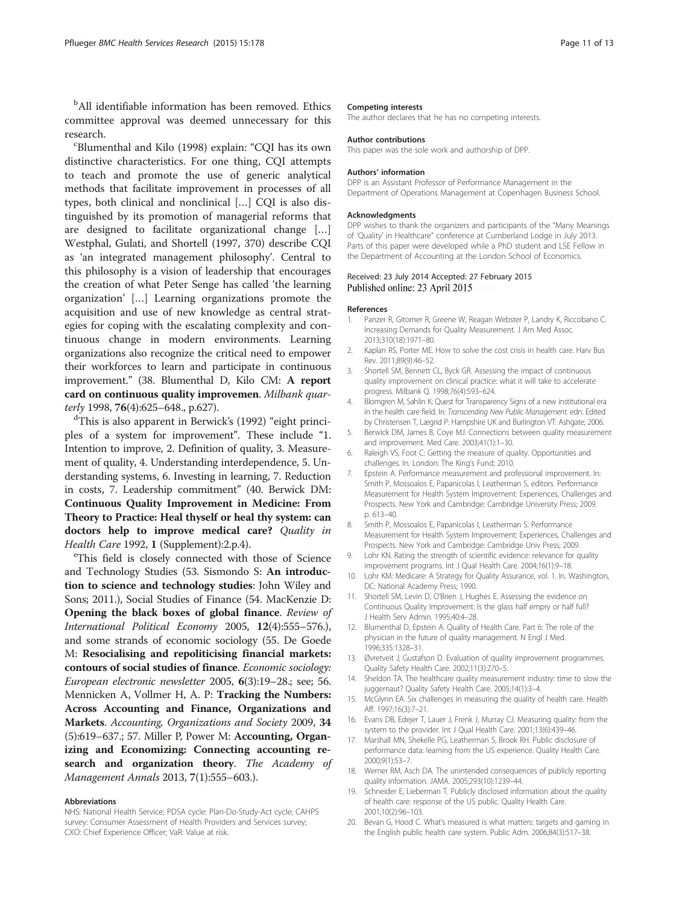<span id="page-10-0"></span><sup>b</sup>All identifiable information has been removed. Ethics committee approval was deemed unnecessary for this research.

Blumenthal and Kilo (1998) explain: "CQI has its own distinctive characteristics. For one thing, CQI attempts to teach and promote the use of generic analytical methods that facilitate improvement in processes of all types, both clinical and nonclinical […] CQI is also distinguished by its promotion of managerial reforms that are designed to facilitate organizational change […] Westphal, Gulati, and Shortell (1997, 370) describe CQI as 'an integrated management philosophy'. Central to this philosophy is a vision of leadership that encourages the creation of what Peter Senge has called 'the learning organization' […] Learning organizations promote the acquisition and use of new knowledge as central strategies for coping with the escalating complexity and continuous change in modern environments. Learning organizations also recognize the critical need to empower their workforces to learn and participate in continuous improvement." (38. Blumenthal D, Kilo CM: A report card on continuous quality improvemen. Milbank quarterly 1998, 76(4):625–648., p.627).

<sup>d</sup>This is also apparent in Berwick's (1992) "eight principles of a system for improvement". These include "1. Intention to improve, 2. Definition of quality, 3. Measurement of quality, 4. Understanding interdependence, 5. Understanding systems, 6. Investing in learning, 7. Reduction in costs, 7. Leadership commitment" (40. Berwick DM: Continuous Quality Improvement in Medicine: From Theory to Practice: Heal thyself or heal thy system: can doctors help to improve medical care? Quality in Health Care 1992, 1 (Supplement):2.p.4).

This field is closely connected with those of Science and Technology Studies (53. Sismondo S: An introduction to science and technology studies: John Wiley and Sons; 2011.), Social Studies of Finance (54. MacKenzie D: Opening the black boxes of global finance. Review of International Political Economy 2005, 12(4):555–576.), and some strands of economic sociology (55. De Goede M: Resocialising and repoliticising financial markets: contours of social studies of finance. Economic sociology: European electronic newsletter 2005, 6(3):19–28.; see; 56. Mennicken A, Vollmer H, A. P: Tracking the Numbers: Across Accounting and Finance, Organizations and Markets. Accounting, Organizations and Society 2009, 34 (5):619–637.; 57. Miller P, Power M: Accounting, Organizing and Economizing: Connecting accounting research and organization theory. The Academy of Management Annals 2013, 7(1):555–603.).

#### Abbreviations

NHS: National Health Service; PDSA cycle: Plan-Do-Study-Act cycle; CAHPS survey: Consumer Assessment of Health Providers and Services survey; CXO: Chief Experience Officer; VaR: Value at risk.

#### Competing interests

The author declares that he has no competing interests.

#### Author contributions

This paper was the sole work and authorship of DPP.

# Authors' information

DPP is an Assistant Professor of Performance Management in the Department of Operations Management at Copenhagen Business School.

#### Acknowledgments

DPP wishes to thank the organizers and participants of the "Many Meanings of 'Quality' in Healthcare" conference at Cumberland Lodge in July 2013. Parts of this paper were developed while a PhD student and LSE Fellow in the Department of Accounting at the London School of Economics.

#### Received: 23 July 2014 Accepted: 27 February 2015 Published online: 23 April 2015

#### References

- 1. Panzer R, Gitomer R, Greene W, Reagan Webster P, Landry K, Riccobano C. Increasing Demands for Quality Measurement. J Am Med Assoc. 2013;310(18):1971–80.
- 2. Kaplan RS, Porter ME. How to solve the cost crisis in health care. Harv Bus Rev. 2011;89(9):46–52.
- 3. Shortell SM, Bennett CL, Byck GR. Assessing the impact of continuous quality improvement on clinical practice: what it will take to accelerate progress. Milbank Q. 1998;76(4):593–624.
- 4. Blomgren M, Sahlin K: Quest for Transparency Signs of a new institutional era in the health care field. In: Transcending New Public Management. edn. Edited by Christensen T, Lægrid P: Hampshire UK and Burlington VT: Ashgate; 2006.
- 5. Berwick DM, James B, Coye MJ. Connections between quality measurement and improvement. Med Care. 2003;41(1):1–30.
- 6. Raleigh VS, Foot C: Getting the measure of quality. Opportunities and challenges. In. London: The King's Fund; 2010.
- 7. Epstein A. Performance measurement and professional improvement. In: Smith P, Mossoalos E, Papanicolas I, Leatherman S, editors. Performance Measurement for Health System Improvement: Experiences, Challenges and Prospects. New York and Cambridge: Cambridge University Press; 2009. p. 613–40.
- 8. Smith P, Mossoalos E, Papanicolas I, Leatherman S. Performance Measurement for Health System Improvement: Experiences, Challenges and Prospects. New York and Cambridge: Cambridge Univ Press; 2009.
- 9. Lohr KN. Rating the strength of scientific evidence: relevance for quality improvement programs. Int J Qual Health Care. 2004;16(1):9–18.
- 10. Lohr KM: Medicare: A Strategy for Quality Assurance, vol. 1. In. Washington, DC: National Academy Press; 1990.
- 11. Shortell SM, Levin D, O'Brien J, Hughes E. Assessing the evidence on Continuous Quality Improvement: Is the glass half empry or half full? J Health Serv Admin. 1995;40:4–28.
- 12. Blumenthal D, Epstein A. Quality of Health Care. Part 6: The role of the physician in the future of quality management. N Engl J Med. 1996;335:1328–31.
- 13. Øvretveit J, Gustafson D. Evaluation of quality improvement programmes. Quality Safety Health Care. 2002;11(3):270–5.
- 14. Sheldon TA. The healthcare quality measurement industry: time to slow the juggernaut? Quality Safety Health Care. 2005;14(1):3–4.
- 15. McGlynn EA. Six challenges in measuring the quality of health care. Health Aff. 1997;16(3):7–21.
- 16. Evans DB, Edejer T, Lauer J, Frenk J, Murray CJ. Measuring quality: from the system to the provider. Int J Qual Health Care. 2001;13(6):439–46.
- 17. Marshall MN, Shekelle PG, Leatherman S, Brook RH. Public disclosure of performance data: learning from the US experience. Quality Health Care. 2000;9(1):53–7.
- 18. Werner RM, Asch DA. The unintended consequences of publicly reporting quality information. JAMA. 2005;293(10):1239–44.
- 19. Schneider E, Lieberman T. Publicly disclosed information about the quality of health care: response of the US public. Quality Health Care. 2001;10(2):96–103.
- 20. Bevan G, Hood C. What's measured is what matters: targets and gaming in the English public health care system. Public Adm. 2006;84(3):517–38.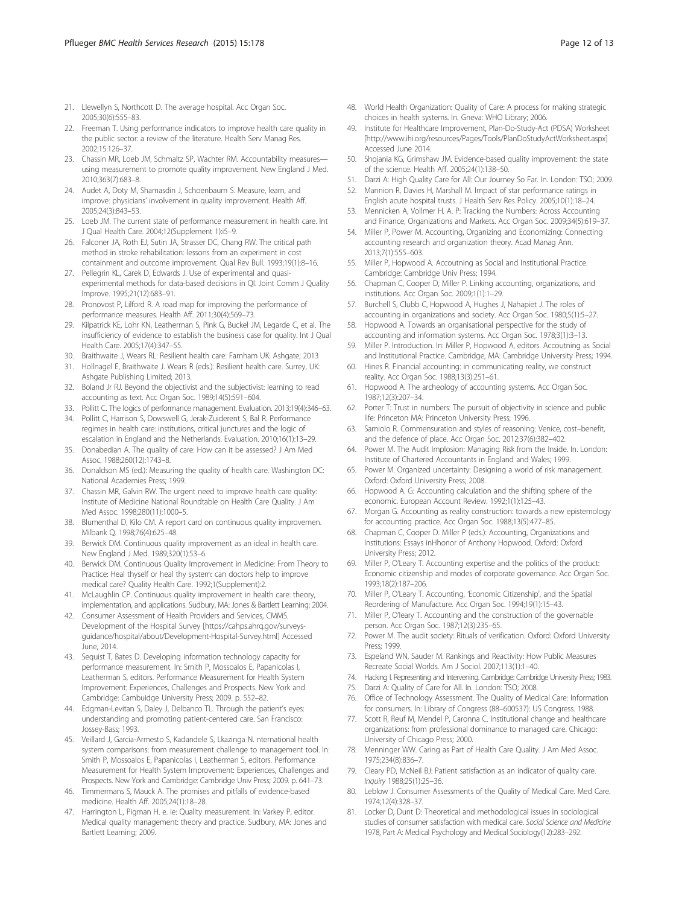- <span id="page-11-0"></span>21. Llewellyn S, Northcott D. The average hospital. Acc Organ Soc. 2005;30(6):555–83.
- 22. Freeman T. Using performance indicators to improve health care quality in the public sector: a review of the literature. Health Serv Manag Res. 2002;15:126–37.
- 23. Chassin MR, Loeb JM, Schmaltz SP, Wachter RM. Accountability measures using measurement to promote quality improvement. New England J Med. 2010;363(7):683–8.
- 24. Audet A, Doty M, Shamasdin J, Schoenbaum S. Measure, learn, and improve: physicians' involvement in quality improvement. Health Aff. 2005;24(3):843–53.
- 25. Loeb JM. The current state of performance measurement in health care. Int J Qual Health Care. 2004;12(Supplement 1):i5–9.
- 26. Falconer JA, Roth EJ, Sutin JA, Strasser DC, Chang RW. The critical path method in stroke rehabilitation: lessons from an experiment in cost containment and outcome improvement. Qual Rev Bull. 1993;19(1):8–16.
- 27. Pellegrin KL, Carek D, Edwards J, Use of experimental and quasiexperimental methods for data-based decisions in QI. Joint Comm J Quality Improve. 1995;21(12):683–91.
- 28. Pronovost P, Lilford R. A road map for improving the performance of performance measures. Health Aff. 2011;30(4):569–73.
- 29. Kilpatrick KE, Lohr KN, Leatherman S, Pink G, Buckel JM, Legarde C, et al. The insufficiency of evidence to establish the business case for quality. Int J Qual Health Care. 2005;17(4):347–55.
- 30. Braithwaite J, Wears RL: Resilient health care: Farnham UK: Ashgate; 2013
- 31. Hollnagel E, Braithwaite J. Wears R (eds.): Resilient health care. Surrey, UK: Ashgate Publishing Limited; 2013.
- 32. Boland Jr RJ. Beyond the objectivist and the subjectivist: learning to read accounting as text. Acc Organ Soc. 1989;14(5):591–604.
- 33. Pollitt C. The logics of performance management. Evaluation. 2013;19(4):346–63.
- 34. Pollitt C, Harrison S, Dowswell G, Jerak-Zuiderent S, Bal R. Performance regimes in health care: institutions, critical junctures and the logic of escalation in England and the Netherlands. Evaluation. 2010;16(1):13–29.
- 35. Donabedian A. The quality of care: How can it be assessed? J Am Med Assoc. 1988;260(12):1743–8.
- 36. Donaldson MS (ed.): Measuring the quality of health care. Washington DC: National Academies Press; 1999.
- 37. Chassin MR, Galvin RW. The urgent need to improve health care quality: Institute of Medicine National Roundtable on Health Care Quality. J Am Med Assoc. 1998;280(11):1000–5.
- 38. Blumenthal D, Kilo CM. A report card on continuous quality improvemen. Milbank Q. 1998;76(4):625–48.
- 39. Berwick DM. Continuous quality improvement as an ideal in health care. New England J Med. 1989;320(1):53–6.
- 40. Berwick DM. Continuous Quality Improvement in Medicine: From Theory to Practice: Heal thyself or heal thy system: can doctors help to improve medical care? Quality Health Care. 1992;1(Supplement):2.
- 41. McLaughlin CP. Continuous quality improvement in health care: theory, implementation, and applications. Sudbury, MA: Jones & Bartlett Learning; 2004.
- 42. Consumer Assessment of Health Providers and Services, CMMS. Development of the Hospital Survey [[https://cahps.ahrq.gov/surveys](https://cahps.ahrq.gov/surveys-guidance/hospital/about/Development-Hospital-Survey.html)[guidance/hospital/about/Development-Hospital-Survey.html\]](https://cahps.ahrq.gov/surveys-guidance/hospital/about/Development-Hospital-Survey.html) Accessed June, 2014.
- 43. Sequist T, Bates D. Developing information technology capacity for performance measurement. In: Smith P, Mossoalos E, Papanicolas I, Leatherman S, editors. Performance Measurement for Health System Improvement: Experiences, Challenges and Prospects. New York and Cambridge: Cambuidge University Press; 2009. p. 552–82.
- 44. Edgman-Levitan S, Daley J, Delbanco TL. Through the patient's eyes: understanding and promoting patient-centered care. San Francisco: Jossey-Bass; 1993.
- 45. Veillard J, Garcia-Armesto S, Kadandele S, Lkazinga N. nternational health system comparisons: from measurement challenge to management tool. In: Smith P, Mossoalos E, Papanicolas I, Leatherman S, editors. Performance Measurement for Health System Improvement: Experiences, Challenges and Prospects. New York and Cambridge: Cambridge Univ Press; 2009. p. 641–73.
- 46. Timmermans S, Mauck A. The promises and pitfalls of evidence-based medicine. Health Aff. 2005;24(1):18–28.
- 47. Harrington L, Pigman H. e. ie: Quality measurement. In: Varkey P, editor. Medical quality management: theory and practice. Sudbury, MA: Jones and Bartlett Learning; 2009.
- 48. World Health Organization: Quality of Care: A process for making strategic choices in health systems. In. Gneva: WHO Library; 2006.
- 49. Institute for Healthcare Improvement, Plan-Do-Study-Act (PDSA) Worksheet [[http://www.ihi.org/resources/Pages/Tools/PlanDoStudyActWorksheet.aspx\]](http://www.ihi.org/resources/Pages/Tools/PlanDoStudyActWorksheet.aspx) Accessed June 2014.
- 50. Shojania KG, Grimshaw JM. Evidence-based quality improvement: the state of the science. Health Aff. 2005;24(1):138–50.
- 51. Darzi A: High Quality Care for All: Our Journey So Far. In. London: TSO; 2009.
- 52. Mannion R, Davies H, Marshall M. Impact of star performance ratings in English acute hospital trusts. J Health Serv Res Policy. 2005;10(1):18–24.
- Mennicken A, Vollmer H. A. P: Tracking the Numbers: Across Accounting and Finance, Organizations and Markets. Acc Organ Soc. 2009;34(5):619–37.
- 54. Miller P, Power M. Accounting, Organizing and Economizing: Connecting accounting research and organization theory. Acad Manag Ann. 2013;7(1):555–603.
- 55. Miller P, Hopwood A. Accoutning as Social and Institutional Practice. Cambridge: Cambridge Univ Press; 1994.
- 56. Chapman C, Cooper D, Miller P. Linking accounting, organizations, and institutions. Acc Organ Soc. 2009;1(1):1–29.
- 57. Burchell S, Clubb C, Hopwood A, Hughes J, Nahapiet J. The roles of accounting in organizations and society. Acc Organ Soc. 1980;5(1):5–27.
- 58. Hopwood A. Towards an organisational perspective for the study of accounting and information systems. Acc Organ Soc. 1978;3(1):3–13.
- 59. Miller P. Introduction. In: Miller P, Hopwood A, editors. Accoutning as Social and Institutional Practice. Cambridge, MA: Cambridge University Press; 1994.
- 60. Hines R. Financial accounting: in communicating reality, we construct reality. Acc Organ Soc. 1988;13(3):251–61. 61. Hopwood A. The archeology of accounting systems. Acc Organ Soc.
- 1987;12(3):207–34.
- 62. Porter T: Trust in numbers: The pursuit of objectivity in science and public life: Princeton MA: Princeton University Press; 1996.
- 63. Samiolo R. Commensuration and styles of reasoning: Venice, cost–benefit, and the defence of place. Acc Organ Soc. 2012;37(6):382–402.
- 64. Power M. The Audit Implosion: Managing Risk from the Inside. In. London: Institute of Chartered Accountants in England and Wales; 1999.
- 65. Power M. Organized uncertainty: Designing a world of risk management. Oxford: Oxford University Press; 2008.
- 66. Hopwood A. G: Accounting calculation and the shifting sphere of the economic. European Account Review. 1992;1(1):125–43.
- 67. Morgan G. Accounting as reality construction: towards a new epistemology for accounting practice. Acc Organ Soc. 1988;13(5):477–85.
- 68. Chapman C, Cooper D. Miller P (eds.): Accounting, Organizations and Institutions: Essays inHhonor of Anthony Hopwood. Oxford: Oxford University Press; 2012.
- 69. Miller P, O'Leary T. Accounting expertise and the politics of the product: Economic citizenship and modes of corporate governance. Acc Organ Soc. 1993;18(2):187–206.
- 70. Miller P, O'Leary T. Accounting, 'Economic Citizenship', and the Spatial Reordering of Manufacture. Acc Organ Soc. 1994;19(1):15–43.
- 71. Miller P, O'leary T. Accounting and the construction of the governable person. Acc Organ Soc. 1987;12(3):235–65.
- 72. Power M. The audit society: Rituals of verification. Oxford: Oxford University Press; 1999.
- 73. Espeland WN, Sauder M. Rankings and Reactivity: How Public Measures Recreate Social Worlds. Am J Sociol. 2007;113(1):1–40.
- 74. Hacking I. Representing and Intervening. Cambridge: Cambridge University Press; 1983.
- Darzi A: Quality of Care for All. In. London: TSO; 2008.
- 76. Office of Technology Assessment. The Quality of Medical Care: Information for consumers. In: Library of Congress (88–600537): US Congress. 1988.
- 77. Scott R, Reuf M, Mendel P, Caronna C. Institutional change and healthcare organizations: from professional dominance to managed care. Chicago: University of Chicago Press; 2000.
- 78. Menninger WW. Caring as Part of Health Care Quality. J Am Med Assoc. 1975;234(8):836–7.
- 79. Cleary PD, McNeil BJ: Patient satisfaction as an indicator of quality care. Inquiry 1988;25(1):25–36.
- 80. Leblow J. Consumer Assessments of the Quality of Medical Care. Med Care. 1974;12(4):328–37.
- 81. Locker D, Dunt D: Theoretical and methodological issues in sociological studies of consumer satisfaction with medical care. Social Science and Medicine 1978, Part A: Medical Psychology and Medical Sociology(12):283–292.